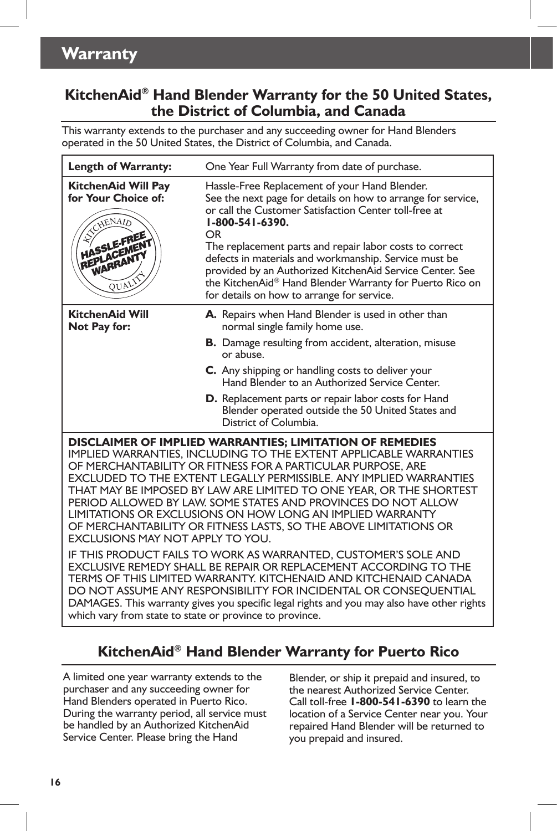# **Warranty**

## **KitchenAid® Hand Blender Warranty for the 50 United States, the District of Columbia, and Canada**

This warranty extends to the purchaser and any succeeding owner for Hand Blenders operated in the 50 United States, the District of Columbia, and Canada.

| <b>Length of Warranty:</b>                                                                                                                                                                                                                                                                                                                                                                                                                                                                                                                                                                                                                         | One Year Full Warranty from date of purchase.                                                                                                                                                                                                                                                                                                                                                                                                                                             |
|----------------------------------------------------------------------------------------------------------------------------------------------------------------------------------------------------------------------------------------------------------------------------------------------------------------------------------------------------------------------------------------------------------------------------------------------------------------------------------------------------------------------------------------------------------------------------------------------------------------------------------------------------|-------------------------------------------------------------------------------------------------------------------------------------------------------------------------------------------------------------------------------------------------------------------------------------------------------------------------------------------------------------------------------------------------------------------------------------------------------------------------------------------|
| KitchenAid Will Pay<br>for Your Choice of:<br>EXCHENAID<br><b>HASSLE-FREE</b><br>REPLACEMENT<br>QUALIX                                                                                                                                                                                                                                                                                                                                                                                                                                                                                                                                             | Hassle-Free Replacement of your Hand Blender.<br>See the next page for details on how to arrange for service,<br>or call the Customer Satisfaction Center toll-free at<br>1-800-541-6390.<br>OR<br>The replacement parts and repair labor costs to correct<br>defects in materials and workmanship. Service must be<br>provided by an Authorized KitchenAid Service Center. See<br>the KitchenAid® Hand Blender Warranty for Puerto Rico on<br>for details on how to arrange for service. |
| <b>KitchenAid Will</b><br>Not Pay for:                                                                                                                                                                                                                                                                                                                                                                                                                                                                                                                                                                                                             | A. Repairs when Hand Blender is used in other than<br>normal single family home use.                                                                                                                                                                                                                                                                                                                                                                                                      |
|                                                                                                                                                                                                                                                                                                                                                                                                                                                                                                                                                                                                                                                    | <b>B.</b> Damage resulting from accident, alteration, misuse<br>or abuse.                                                                                                                                                                                                                                                                                                                                                                                                                 |
|                                                                                                                                                                                                                                                                                                                                                                                                                                                                                                                                                                                                                                                    | C. Any shipping or handling costs to deliver your<br>Hand Blender to an Authorized Service Center.                                                                                                                                                                                                                                                                                                                                                                                        |
|                                                                                                                                                                                                                                                                                                                                                                                                                                                                                                                                                                                                                                                    | D. Replacement parts or repair labor costs for Hand<br>Blender operated outside the 50 United States and<br>District of Columbia.                                                                                                                                                                                                                                                                                                                                                         |
| DISCLAIMER OF IMPLIED WARRANTIES; LIMITATION OF REMEDIES<br>IMPLIED WARRANTIES, INCLUDING TO THE EXTENT APPLICABLE WARRANTIES<br>OF MERCHANTABILITY OR FITNESS FOR A PARTICULAR PURPOSE, ARE<br>EXCLUDED TO THE EXTENT LEGALLY PERMISSIBLE. ANY IMPLIED WARRANTIES<br>THAT MAY BE IMPOSED BY LAW ARE LIMITED TO ONE YEAR, OR THE SHORTEST<br>PERIOD ALLOWED BY LAW. SOME STATES AND PROVINCES DO NOT ALLOW<br>LIMITATIONS OR EXCLUSIONS ON HOW LONG AN IMPLIED WARRANTY<br>OF MERCHANTABILITY OR FITNESS LASTS, SO THE ABOVE LIMITATIONS OR<br>EXCLUSIONS MAY NOT APPLY TO YOU.<br>IF THIS PRODUCT FAILS TO WORK AS WARRANTED, CUSTOMER'S SOLE AND |                                                                                                                                                                                                                                                                                                                                                                                                                                                                                           |
| EXCLUSIVE REMEDY SHALL BE REPAIR OR REPLACEMENT ACCORDING TO THE<br>TERMS OF THIS LIMITED WARRANTY. KITCHENAID AND KITCHENAID CANADA<br>DO NOT ASSUME ANY RESPONSIBILITY FOR INCIDENTAL OR CONSEQUENTIAL<br>DAMAGES. This warranty gives you specific legal rights and you may also have other rights<br>which vary from state to state or province to province.                                                                                                                                                                                                                                                                                   |                                                                                                                                                                                                                                                                                                                                                                                                                                                                                           |

# **KitchenAid® Hand Blender Warranty for Puerto Rico**

A limited one year warranty extends to the purchaser and any succeeding owner for Hand Blenders operated in Puerto Rico. During the warranty period, all service must be handled by an Authorized KitchenAid Service Center. Please bring the Hand

Blender, or ship it prepaid and insured, to the nearest Authorized Service Center. Call toll-free **1-800-541-6390** to learn the location of a Service Center near you. Your repaired Hand Blender will be returned to you prepaid and insured.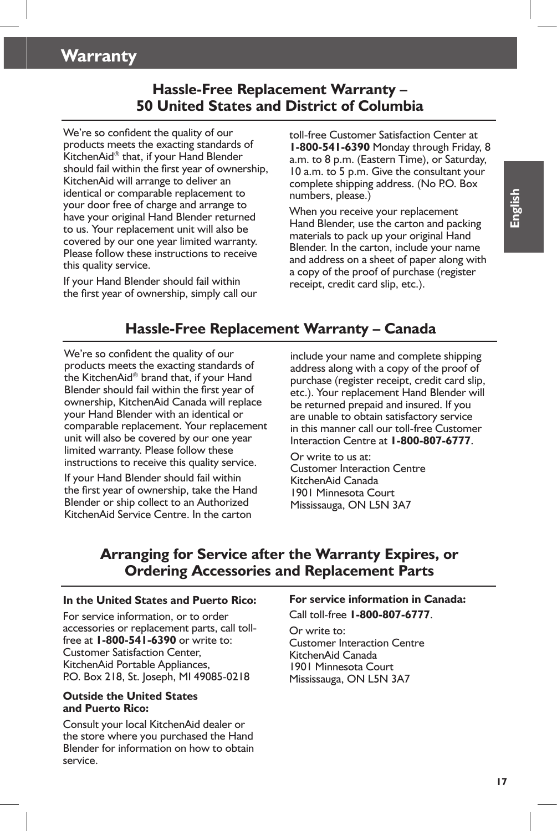# **Warranty**

## **Hassle-Free Replacement Warranty – 50 United States and District of Columbia**

We're so confident the quality of our products meets the exacting standards of KitchenAid® that, if your Hand Blender should fail within the first year of ownership, KitchenAid will arrange to deliver an identical or comparable replacement to your door free of charge and arrange to have your original Hand Blender returned to us. Your replacement unit will also be covered by our one year limited warranty. Please follow these instructions to receive this quality service.

If your Hand Blender should fail within the first year of ownership, simply call our

toll-free Customer Satisfaction Center at **1-800-541-6390** Monday through Friday, 8 a.m. to 8 p.m. (Eastern Time), or Saturday, 10 a.m. to 5 p.m. Give the consultant your complete shipping address. (No P.O. Box numbers, please.)

When you receive your replacement Hand Blender, use the carton and packing materials to pack up your original Hand Blender. In the carton, include your name and address on a sheet of paper along with a copy of the proof of purchase (register receipt, credit card slip, etc.).

## **Hassle-Free Replacement Warranty – Canada**

We're so confident the quality of our products meets the exacting standards of the KitchenAid® brand that, if your Hand Blender should fail within the first year of ownership, KitchenAid Canada will replace your Hand Blender with an identical or comparable replacement. Your replacement unit will also be covered by our one year limited warranty. Please follow these instructions to receive this quality service.

If your Hand Blender should fail within the first year of ownership, take the Hand Blender or ship collect to an Authorized KitchenAid Service Centre. In the carton

include your name and complete shipping address along with a copy of the proof of purchase (register receipt, credit card slip, etc.). Your replacement Hand Blender will be returned prepaid and insured. If you are unable to obtain satisfactory service in this manner call our toll-free Customer Interaction Centre at **1-800-807-6777**.

Or write to us at: Customer Interaction Centre KitchenAid Canada 1901 Minnesota Court Mississauga, ON L5N 3A7

## **Arranging for Service after the Warranty Expires, or Ordering Accessories and Replacement Parts**

#### **In the United States and Puerto Rico:**

For service information, or to order accessories or replacement parts, call tollfree at **1-800-541-6390** or write to: Customer Satisfaction Center, KitchenAid Portable Appliances, P.O. Box 218, St. Joseph, MI 49085-0218

#### **Outside the United States and Puerto Rico:**

Consult your local KitchenAid dealer or the store where you purchased the Hand Blender for information on how to obtain service.

#### **For service information in Canada:** Call toll-free **1-800-807-6777**.

Or write to: Customer Interaction Centre KitchenAid Canada 1901 Minnesota Court Mississauga, ON L5N 3A7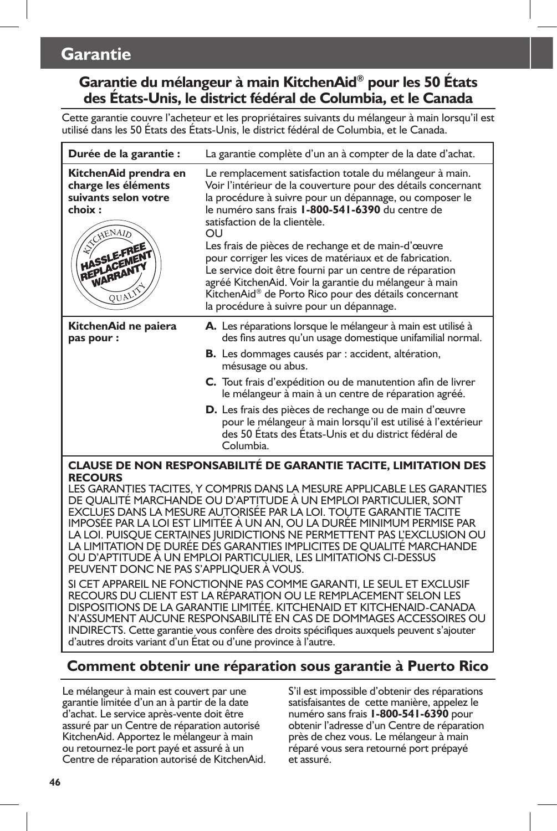# **Garantie**

## **Garantie du mélangeur à main KitchenAid® pour les 50 États des États-Unis, le district fédéral de Columbia, et le Canada**

Cette garantie couvre l'acheteur et les propriétaires suivants du mélangeur à main lorsqu'il est utilisé dans les 50 États des États-Unis, le district fédéral de Columbia, et le Canada.

| Durée de la garantie :                                                                                                                            | La garantie complète d'un an à compter de la date d'achat.                                                                                                                                                                                                                                                                                                                                                                                                                                                                                                                                                                 |
|---------------------------------------------------------------------------------------------------------------------------------------------------|----------------------------------------------------------------------------------------------------------------------------------------------------------------------------------------------------------------------------------------------------------------------------------------------------------------------------------------------------------------------------------------------------------------------------------------------------------------------------------------------------------------------------------------------------------------------------------------------------------------------------|
| KitchenAid prendra en<br>charge les éléments<br>suivants selon votre<br>choix:<br><b>ANCHENAID</b><br><b>HASSLE-FREE</b><br>REPLACEMENT<br>QUALIS | Le remplacement satisfaction totale du mélangeur à main.<br>Voir l'intérieur de la couverture pour des détails concernant<br>la procédure à suivre pour un dépannage, ou composer le<br>le numéro sans frais 1-800-541-6390 du centre de<br>satisfaction de la clientèle.<br>OU<br>Les frais de pièces de rechange et de main-d'œuvre<br>pour corriger les vices de matériaux et de fabrication.<br>Le service doit être fourni par un centre de réparation<br>agréé KitchenAid. Voir la garantie du mélangeur à main<br>KitchenAid® de Porto Rico pour des détails concernant<br>la procédure à suivre pour un dépannage. |
| KitchenAid ne paiera<br>pas pour :                                                                                                                | A. Les réparations lorsque le mélangeur à main est utilisé à<br>des fins autres qu'un usage domestique unifamilial normal.<br><b>B.</b> Les dommages causés par : accident, altération,<br>mésusage ou abus.                                                                                                                                                                                                                                                                                                                                                                                                               |
|                                                                                                                                                   | C. Tout frais d'expédition ou de manutention afin de livrer<br>le mélangeur à main à un centre de réparation agréé.                                                                                                                                                                                                                                                                                                                                                                                                                                                                                                        |
|                                                                                                                                                   | <b>D.</b> Les frais des pièces de rechange ou de main d'œuvre<br>pour le mélangeur à main lorsqu'il est utilisé à l'extérieur<br>des 50 États des États-Unis et du district fédéral de<br>Columbia.                                                                                                                                                                                                                                                                                                                                                                                                                        |
| <b>CLAUSE DE NON RESPONSABILITÉ DE GARANTIE TACITE, LIMITATION DES</b><br><b>RECOURS</b>                                                          |                                                                                                                                                                                                                                                                                                                                                                                                                                                                                                                                                                                                                            |
|                                                                                                                                                   | LES GARANTIES TACITES, Y COMPRIS DANS LA MESURE APPLICABLE LES GARANTIES<br>DE QUALITÉ MARCHANDE OU D'APTITUDE À UN EMPLOI PARTICULIER, SONT<br>EXCLUES DANS LA MESURE AUTORISÉE PAR LA LOI. TOUTE GARANTIE TACITE<br>IMPOSÉE PAR LA LOI EST LIMITÉE À UN AN, OU LA DURÉE MINIMUM PERMISE PAR<br>LA LOI. PUISQUE CERTAINES JURIDICTIONS NE PERMETTENT PAS L'EXCLUSION OU<br>LA LIMITATION DE DURÉE DÉS GARANTIES IMPLICITES DE OUALITÉ MARCHANDE                                                                                                                                                                           |

PEUVENT DONC NE PAS S'APPLIQUER À VOUS. SI CET APPAREIL NE FONCTIONNE PAS COMME GARANTI, LE SEUL ET EXCLUSIF RECOURS DU CLIENT EST LA RÉPARATION OU LE REMPLACEMENT SELON LES DISPOSITIONS DE LA GARANTIE LIMITÉE. KITCHENAID ET KITCHENAID-CANADA N'ASSUMENT AUCUNE RESPONSABILITÉ EN CAS DE DOMMAGES ACCESSOIRES OU INDIRECTS. Cette garantie vous confère des droits spécifiques auxquels peuvent s'ajouter d'autres droits variant d'un État ou d'une province à l'autre.

OU D'APTITUDE À UN EMPLOI PARTICULIER, LES LIMITATIONS CI-DESSUS

## **Comment obtenir une réparation sous garantie à Puerto Rico**

Le mélangeur à main est couvert par une garantie limitée d'un an à partir de la date d'achat. Le service après-vente doit être assuré par un Centre de réparation autorisé KitchenAid. Apportez le mélangeur à main ou retournez-le port payé et assuré à un Centre de réparation autorisé de KitchenAid. S'il est impossible d'obtenir des réparations satisfaisantes de cette manière, appelez le numéro sans frais **1-800-541-6390** pour obtenir l'adresse d'un Centre de réparation près de chez vous. Le mélangeur à main réparé vous sera retourné port prépayé et assuré.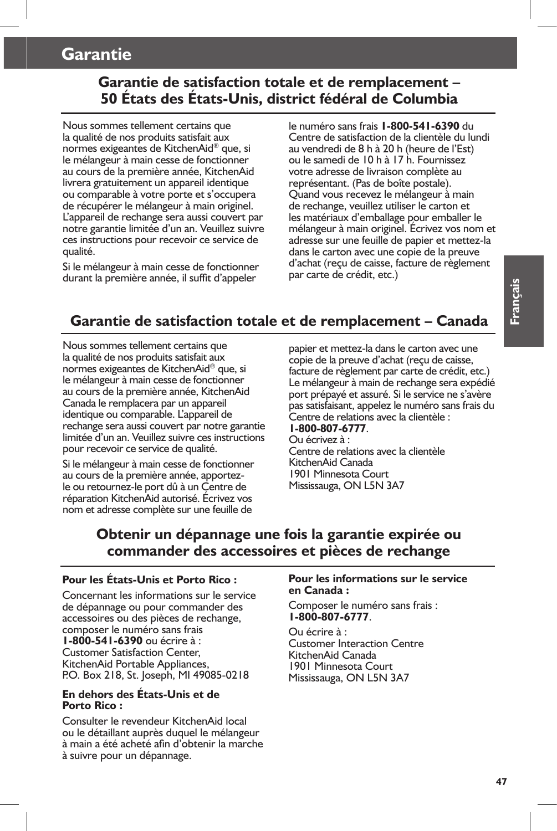## **Garantie**

## **Garantie de satisfaction totale et de remplacement – 50 États des États-Unis, district fédéral de Columbia**

Nous sommes tellement certains que la qualité de nos produits satisfait aux normes exigeantes de KitchenAid® que, si le mélangeur à main cesse de fonctionner au cours de la première année, KitchenAid livrera gratuitement un appareil identique ou comparable à votre porte et s'occupera de récupérer le mélangeur à main originel. L'appareil de rechange sera aussi couvert par notre garantie limitée d'un an. Veuillez suivre ces instructions pour recevoir ce service de qualité.

Si le mélangeur à main cesse de fonctionner durant la première année, il suffit d'appeler

le numéro sans frais **1-800-541-6390** du Centre de satisfaction de la clientèle du lundi au vendredi de 8 h à 20 h (heure de l'Est) ou le samedi de 10 h à 17 h. Fournissez votre adresse de livraison complète au représentant. (Pas de boîte postale). Quand vous recevez le mélangeur à main de rechange, veuillez utiliser le carton et les matériaux d'emballage pour emballer le mélangeur à main originel. Écrivez vos nom et adresse sur une feuille de papier et mettez-la dans le carton avec une copie de la preuve d'achat (reçu de caisse, facture de règlement par carte de crédit, etc.)

# **Garantie de satisfaction totale et de remplacement – Canada**

Nous sommes tellement certains que la qualité de nos produits satisfait aux normes exigeantes de KitchenAid® que, si le mélangeur à main cesse de fonctionner au cours de la première année, KitchenAid Canada le remplacera par un appareil identique ou comparable. L'appareil de rechange sera aussi couvert par notre garantie limitée d'un an. Veuillez suivre ces instructions pour recevoir ce service de qualité.

Si le mélangeur à main cesse de fonctionner au cours de la première année, apportezle ou retournez-le port dû à un Centre de réparation KitchenAid autorisé. Écrivez vos nom et adresse complète sur une feuille de

papier et mettez-la dans le carton avec une copie de la preuve d'achat (reçu de caisse, facture de règlement par carte de crédit, etc.) Le mélangeur à main de rechange sera expédié port prépayé et assuré. Si le service ne s'avère pas satisfaisant, appelez le numéro sans frais du Centre de relations avec la clientèle : **1-800-807-6777**.

#### Ou écrivez à : Centre de relations avec la clientèle KitchenAid Canada 1901 Minnesota Court Mississauga, ON L5N 3A7

## **Obtenir un dépannage une fois la garantie expirée ou commander des accessoires et pièces de rechange**

#### **Pour les États-Unis et Porto Rico :**

Concernant les informations sur le service de dépannage ou pour commander des accessoires ou des pièces de rechange, composer le numéro sans frais **1-800-541-6390** ou écrire à : Customer Satisfaction Center, KitchenAid Portable Appliances, P.O. Box 218, St. Joseph, MI 49085-0218

#### **En dehors des États-Unis et de Porto Rico :**

Consulter le revendeur KitchenAid local ou le détaillant auprès duquel le mélangeur à main a été acheté afin d'obtenir la marche à suivre pour un dépannage.

#### **Pour les informations sur le service en Canada :**

Composer le numéro sans frais : **1-800-807-6777**.

Ou écrire à : Customer Interaction Centre KitchenAid Canada 1901 Minnesota Court Mississauga, ON L5N 3A7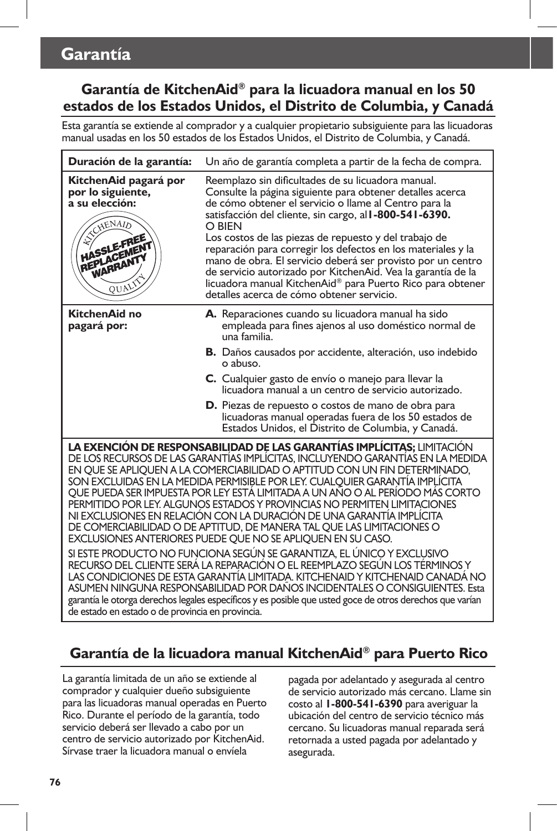## **Garantía de KitchenAid® para la licuadora manual en los 50 estados de los Estados Unidos, el Distrito de Columbia, y Canadá**

Esta garantía se extiende al comprador y a cualquier propietario subsiguiente para las licuadoras manual usadas en los 50 estados de los Estados Unidos, el Distrito de Columbia, y Canadá.

| Duración de la garantía:                                                                                                                                                                                                                                                                                                                                                                                                                                                                                                                                                                                                                                                                                                                                                                                                                                                                                                                                                                                                                                                                                                                                                               | Un año de garantía completa a partir de la fecha de compra.                                                                                                                                                                                                                                                                                                                                                                                                                                                                                                                                                             |
|----------------------------------------------------------------------------------------------------------------------------------------------------------------------------------------------------------------------------------------------------------------------------------------------------------------------------------------------------------------------------------------------------------------------------------------------------------------------------------------------------------------------------------------------------------------------------------------------------------------------------------------------------------------------------------------------------------------------------------------------------------------------------------------------------------------------------------------------------------------------------------------------------------------------------------------------------------------------------------------------------------------------------------------------------------------------------------------------------------------------------------------------------------------------------------------|-------------------------------------------------------------------------------------------------------------------------------------------------------------------------------------------------------------------------------------------------------------------------------------------------------------------------------------------------------------------------------------------------------------------------------------------------------------------------------------------------------------------------------------------------------------------------------------------------------------------------|
| KitchenAid pagará por<br>por lo siguiente,<br>a su elección:<br>EXCHENAID<br>HASSLE-FREE<br>REPLACEMENT<br>WARRANTY<br>QUALIS                                                                                                                                                                                                                                                                                                                                                                                                                                                                                                                                                                                                                                                                                                                                                                                                                                                                                                                                                                                                                                                          | Reemplazo sin dificultades de su licuadora manual.<br>Consulte la página siguiente para obtener detalles acerca<br>de cómo obtener el servicio o llame al Centro para la<br>satisfacción del cliente, sin cargo, al <b>I-800-541-6390.</b><br>O BIEN<br>Los costos de las piezas de repuesto y del trabajo de<br>reparación para corregir los defectos en los materiales y la<br>mano de obra. El servicio deberá ser provisto por un centro<br>de servicio autorizado por KitchenAid. Vea la garantía de la<br>licuadora manual KitchenAid® para Puerto Rico para obtener<br>detalles acerca de cómo obtener servicio. |
| KitchenAid no<br>pagará por:                                                                                                                                                                                                                                                                                                                                                                                                                                                                                                                                                                                                                                                                                                                                                                                                                                                                                                                                                                                                                                                                                                                                                           | A. Reparaciones cuando su licuadora manual ha sido<br>empleada para fines ajenos al uso doméstico normal de<br>una familia.                                                                                                                                                                                                                                                                                                                                                                                                                                                                                             |
|                                                                                                                                                                                                                                                                                                                                                                                                                                                                                                                                                                                                                                                                                                                                                                                                                                                                                                                                                                                                                                                                                                                                                                                        | <b>B.</b> Daños causados por accidente, alteración, uso indebido<br>o abuso.                                                                                                                                                                                                                                                                                                                                                                                                                                                                                                                                            |
|                                                                                                                                                                                                                                                                                                                                                                                                                                                                                                                                                                                                                                                                                                                                                                                                                                                                                                                                                                                                                                                                                                                                                                                        | C. Cualquier gasto de envío o manejo para llevar la<br>licuadora manual a un centro de servicio autorizado.                                                                                                                                                                                                                                                                                                                                                                                                                                                                                                             |
|                                                                                                                                                                                                                                                                                                                                                                                                                                                                                                                                                                                                                                                                                                                                                                                                                                                                                                                                                                                                                                                                                                                                                                                        | <b>D.</b> Piezas de repuesto o costos de mano de obra para<br>licuadoras manual operadas fuera de los 50 estados de<br>Estados Unidos, el Distrito de Columbia, y Canadá.                                                                                                                                                                                                                                                                                                                                                                                                                                               |
| LA EXENCIÓN DE RESPONSABILIDAD DE LAS GARANTÍAS IMPLÍCITAS; LIMITACIÓN<br>DE LOS RECURSOS DE LAS GARANTÍAS IMPLÍCITAS. INCLUYENDO GARANTÍAS EN LA MEDIDA<br>EN QUE SE APLIQUEN A LA COMERCIABILIDAD O APTITUD CON UN FIN DETERMINADO,<br>SON EXCLUIDAS EN LA MEDIDA PERMISIBLE POR LEY. CUALQUIER GARANTÍA IMPLÍCITA<br>QUE PUEDA SER IMPUESTA POR LEY ESTÁ LIMITADA A UN AÑO O AL PERÍODO MÁS CORTO<br>PERMITIDO POR LEY. ALGUNOS ESTADOS Y PROVINCIAS NO PERMITEN LIMITACIONES<br>NI EXCLUSIONES EN RELACIÓN CON LA DURACIÓN DE UNA GARANTÍA IMPLÍCITA<br>DE COMERCIABILIDAD O DE APTITUD, DE MANERA TAL QUE LAS LIMITACIONES O<br>EXCLUSIONES ANTERIORES PUEDE QUE NO SE APLIQUEN EN SU CASO.<br>SI ESTE PRODUCTO NO FUNCIONA SEGÚN SE GARANTIZA, EL ÚNICO Y EXCLUSIVO<br>RECURSO DEL CLIENTE SERÁ LA REPARACIÓN O EL REEMPLAZO SEGÚN LOS TÉRMINOS Y<br>LAS CONDICIONES DE ESTA GARANTÍA LIMITADA. KITCHENAID Y KITCHENAID CANADA NO<br>ASUMEN NINGUNA RESPONSABILIDAD POR DAÑOS INCIDENTALES O CONSIGUIENTES. Esta<br>garantía le otorga derechos legales específicos y es posible que usted goce de otros derechos que varían<br>de estado en estado o de provincia en provincia. |                                                                                                                                                                                                                                                                                                                                                                                                                                                                                                                                                                                                                         |

## **Garantía de la licuadora manual KitchenAid® para Puerto Rico**

La garantía limitada de un año se extiende al comprador y cualquier dueño subsiguiente para las licuadoras manual operadas en Puerto Rico. Durante el período de la garantía, todo servicio deberá ser llevado a cabo por un centro de servicio autorizado por KitchenAid. Sírvase traer la licuadora manual o envíela

pagada por adelantado y asegurada al centro de servicio autorizado más cercano. Llame sin costo al **1-800-541-6390** para averiguar la ubicación del centro de servicio técnico más cercano. Su licuadoras manual reparada será retornada a usted pagada por adelantado y asegurada.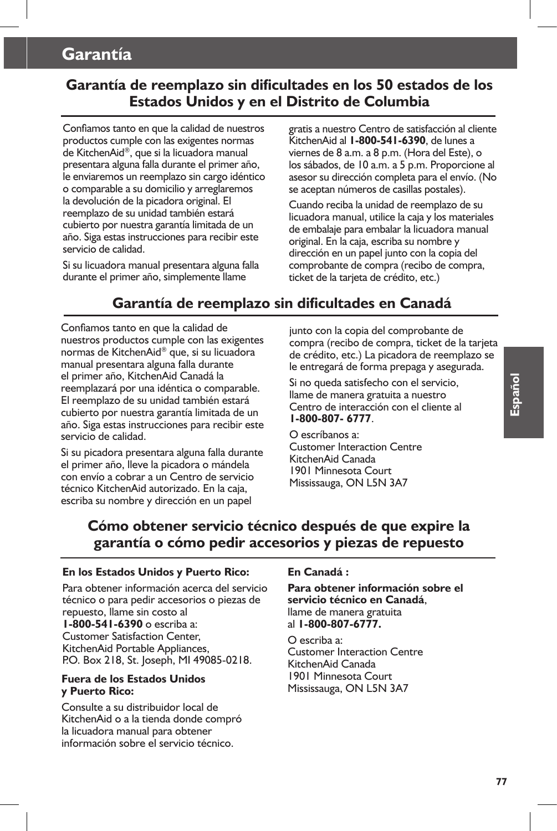# **Garantía**

## **Garantía de reemplazo sin dificultades en los 50 estados de los Estados Unidos y en el Distrito de Columbia**

Confiamos tanto en que la calidad de nuestros productos cumple con las exigentes normas de KitchenAid®, que si la licuadora manual presentara alguna falla durante el primer año, le enviaremos un reemplazo sin cargo idéntico o comparable a su domicilio y arreglaremos la devolución de la picadora original. El reemplazo de su unidad también estará cubierto por nuestra garantía limitada de un año. Siga estas instrucciones para recibir este servicio de calidad.

Si su licuadora manual presentara alguna falla durante el primer año, simplemente llame

gratis a nuestro Centro de satisfacción al cliente KitchenAid al **1-800-541-6390**, de lunes a viernes de 8 a.m. a 8 p.m. (Hora del Este), o los sábados, de 10 a.m. a 5 p.m. Proporcione al asesor su dirección completa para el envío. (No se aceptan números de casillas postales).

Cuando reciba la unidad de reemplazo de su licuadora manual, utilice la caja y los materiales de embalaje para embalar la licuadora manual original. En la caja, escriba su nombre y dirección en un papel junto con la copia del comprobante de compra (recibo de compra, ticket de la tarjeta de crédito, etc.)

# **Garantía de reemplazo sin dificultades en Canadá**

Confiamos tanto en que la calidad de nuestros productos cumple con las exigentes normas de KitchenAid® que, si su licuadora manual presentara alguna falla durante el primer año, KitchenAid Canadá la reemplazará por una idéntica o comparable. El reemplazo de su unidad también estará cubierto por nuestra garantía limitada de un año. Siga estas instrucciones para recibir este servicio de calidad.

Si su picadora presentara alguna falla durante el primer año, lleve la picadora o mándela con envío a cobrar a un Centro de servicio técnico KitchenAid autorizado. En la caja, escriba su nombre y dirección en un papel

junto con la copia del comprobante de compra (recibo de compra, ticket de la tarjeta de crédito, etc.) La picadora de reemplazo se le entregará de forma prepaga y asegurada.

Si no queda satisfecho con el servicio, llame de manera gratuita a nuestro Centro de interacción con el cliente al **1-800-807- 6777**.

O escríbanos a: Customer Interaction Centre KitchenAid Canada 1901 Minnesota Court Mississauga, ON L5N 3A7

## **Cómo obtener servicio técnico después de que expire la garantía o cómo pedir accesorios y piezas de repuesto**

#### **En los Estados Unidos y Puerto Rico:**

Para obtener información acerca del servicio técnico o para pedir accesorios o piezas de repuesto, llame sin costo al **1-800-541-6390** o escriba a: Customer Satisfaction Center, KitchenAid Portable Appliances, P.O. Box 218, St. Joseph, MI 49085-0218.

#### **Fuera de los Estados Unidos y Puerto Rico:**

Consulte a su distribuidor local de KitchenAid o a la tienda donde compró la licuadora manual para obtener información sobre el servicio técnico.

#### **En Canadá :**

**Para obtener información sobre el servicio técnico en Canadá**, llame de manera gratuita al **1-800-807-6777.**

O escriba a: Customer Interaction Centre KitchenAid Canada 1901 Minnesota Court Mississauga, ON L5N 3A7